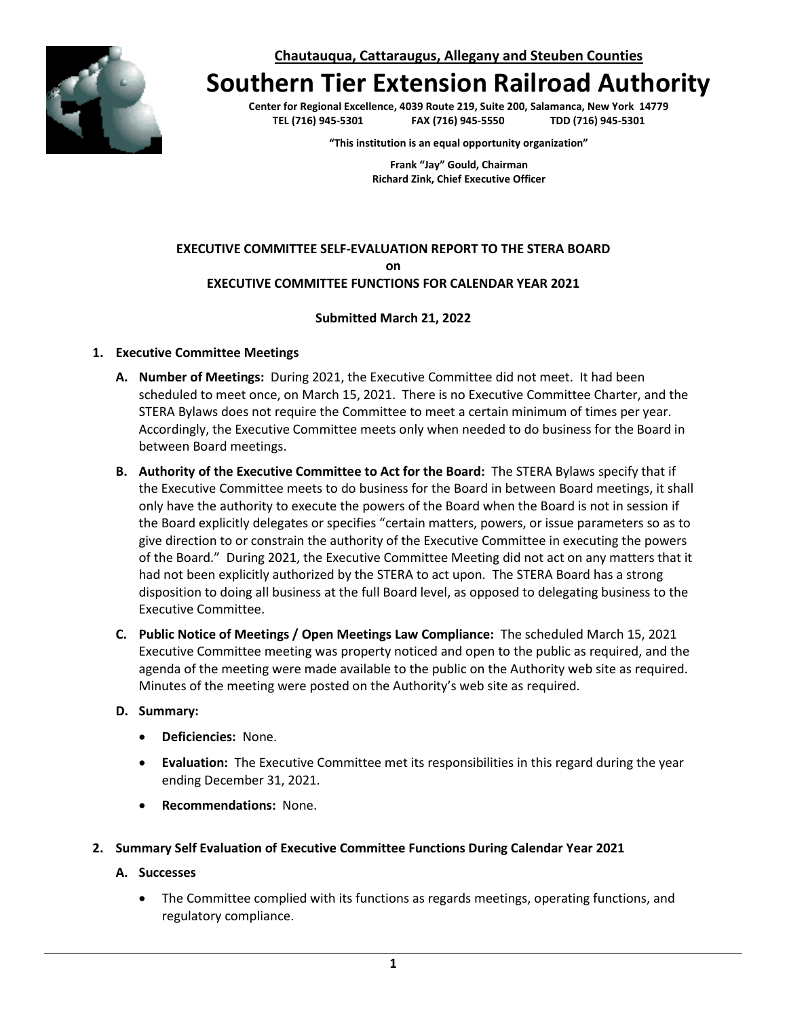**Chautauqua, Cattaraugus, Allegany and Steuben Counties**



# **Southern Tier Extension Railroad Authority**

**Center for Regional Excellence, 4039 Route 219, Suite 200, Salamanca, New York 14779 TEL (716) 945-5301 FAX (716) 945-5550 TDD (716) 945-5301**

**"This institution is an equal opportunity organization"**

**Frank "Jay" Gould, Chairman Richard Zink, Chief Executive Officer**

# **EXECUTIVE COMMITTEE SELF-EVALUATION REPORT TO THE STERA BOARD on EXECUTIVE COMMITTEE FUNCTIONS FOR CALENDAR YEAR 2021**

# **Submitted March 21, 2022**

# **1. Executive Committee Meetings**

- **A. Number of Meetings:** During 2021, the Executive Committee did not meet. It had been scheduled to meet once, on March 15, 2021. There is no Executive Committee Charter, and the STERA Bylaws does not require the Committee to meet a certain minimum of times per year. Accordingly, the Executive Committee meets only when needed to do business for the Board in between Board meetings.
- **B. Authority of the Executive Committee to Act for the Board:** The STERA Bylaws specify that if the Executive Committee meets to do business for the Board in between Board meetings, it shall only have the authority to execute the powers of the Board when the Board is not in session if the Board explicitly delegates or specifies "certain matters, powers, or issue parameters so as to give direction to or constrain the authority of the Executive Committee in executing the powers of the Board." During 2021, the Executive Committee Meeting did not act on any matters that it had not been explicitly authorized by the STERA to act upon. The STERA Board has a strong disposition to doing all business at the full Board level, as opposed to delegating business to the Executive Committee.
- **C. Public Notice of Meetings / Open Meetings Law Compliance:** The scheduled March 15, 2021 Executive Committee meeting was property noticed and open to the public as required, and the agenda of the meeting were made available to the public on the Authority web site as required. Minutes of the meeting were posted on the Authority's web site as required.

# **D. Summary:**

- **Deficiencies:** None.
- **Evaluation:** The Executive Committee met its responsibilities in this regard during the year ending December 31, 2021.
- **Recommendations:** None.

## **2. Summary Self Evaluation of Executive Committee Functions During Calendar Year 2021**

## **A. Successes**

• The Committee complied with its functions as regards meetings, operating functions, and regulatory compliance.